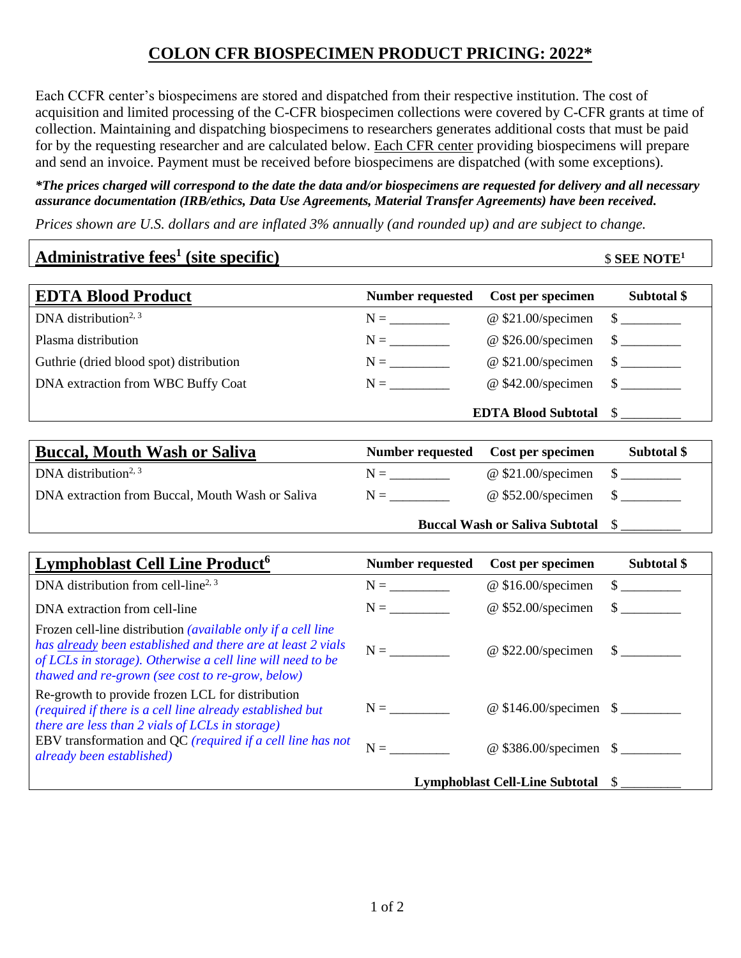## **COLON CFR BIOSPECIMEN PRODUCT PRICING: 2022\***

Each CCFR center's biospecimens are stored and dispatched from their respective institution. The cost of acquisition and limited processing of the C-CFR biospecimen collections were covered by C-CFR grants at time of collection. Maintaining and dispatching biospecimens to researchers generates additional costs that must be paid for by the requesting researcher and are calculated below. Each CFR center providing biospecimens will prepare and send an invoice. Payment must be received before biospecimens are dispatched (with some exceptions).

## *\*The prices charged will correspond to the date the data and/or biospecimens are requested for delivery and all necessary assurance documentation (IRB/ethics, Data Use Agreements, Material Transfer Agreements) have been received.*

*Prices shown are U.S. dollars and are inflated 3% annually (and rounded up) and are subject to change.*

| Administrative fees <sup>1</sup> (site specific)                                                                                                                                                                                                     | $$$ SEE NOTE <sup>1</sup>                                                                           |                                       |                             |  |  |
|------------------------------------------------------------------------------------------------------------------------------------------------------------------------------------------------------------------------------------------------------|-----------------------------------------------------------------------------------------------------|---------------------------------------|-----------------------------|--|--|
| <b>EDTA Blood Product</b>                                                                                                                                                                                                                            | <b>Number requested</b>                                                                             | Cost per specimen                     | Subtotal \$                 |  |  |
| DNA distribution <sup>2, 3</sup>                                                                                                                                                                                                                     | $N = \underline{\hspace{2cm}}$                                                                      | @ \$21.00/specimen                    | $\frac{\text{S}}{\text{S}}$ |  |  |
| Plasma distribution                                                                                                                                                                                                                                  | $N = \underline{\hspace{2cm}}$                                                                      | @ \$26.00/specimen                    | $\frac{\text{S}}{\text{S}}$ |  |  |
| Guthrie (dried blood spot) distribution                                                                                                                                                                                                              | $N = \underline{\hskip 1.0cm}$                                                                      | @ \$21.00/specimen                    | $\frac{\text{S}}{\text{S}}$ |  |  |
| DNA extraction from WBC Buffy Coat                                                                                                                                                                                                                   | $N = \underline{\hspace{2cm}}$                                                                      | @ \$42.00/specimen                    | $\mathcal{S}$               |  |  |
|                                                                                                                                                                                                                                                      |                                                                                                     | <b>EDTA Blood Subtotal</b>            | $\mathbb{S}$                |  |  |
| <b>Buccal, Mouth Wash or Saliva</b>                                                                                                                                                                                                                  | <b>Number requested</b>                                                                             | Cost per specimen                     | Subtotal \$                 |  |  |
| DNA distribution <sup>2, 3</sup>                                                                                                                                                                                                                     | $N = \_$                                                                                            | @ \$21.00/specimen                    | $\frac{\text{S}}{\text{S}}$ |  |  |
| DNA extraction from Buccal, Mouth Wash or Saliva                                                                                                                                                                                                     | $N = \_$                                                                                            | @ \$52.00/specimen                    | $\sim$                      |  |  |
|                                                                                                                                                                                                                                                      |                                                                                                     | <b>Buccal Wash or Saliva Subtotal</b> | $\mathbb{S}$                |  |  |
| <b>Lymphoblast Cell Line Product<sup>6</sup></b>                                                                                                                                                                                                     | <b>Number requested</b>                                                                             | Cost per specimen                     | Subtotal \$                 |  |  |
| DNA distribution from cell-line <sup>2, 3</sup>                                                                                                                                                                                                      | $N = \begin{tabular}{ c c } \hline \quad \quad & \quad \quad & \quad \quad \\ \hline \end{tabular}$ | @ \$16.00/specimen                    | $\frac{\text{S}}{\text{S}}$ |  |  |
| DNA extraction from cell-line                                                                                                                                                                                                                        | $N = \underline{\hspace{2cm}}$                                                                      | @ \$52.00/specimen                    | $\mathcal{S}$               |  |  |
| Frozen cell-line distribution <i>(available only if a cell line</i><br>has already been established and there are at least 2 vials<br>of LCLs in storage). Otherwise a cell line will need to be<br>thawed and re-grown (see cost to re-grow, below) | $N = \underline{\qquad \qquad }$                                                                    | $@$ \$22.00/specimen                  | $\frac{\text{S}}{\text{S}}$ |  |  |
| Re-growth to provide frozen LCL for distribution<br>(required if there is a cell line already established but<br>there are less than 2 vials of LCLs in storage)                                                                                     | $N = \underline{\qquad}$                                                                            |                                       |                             |  |  |
| EBV transformation and QC (required if a cell line has not<br>already been established)                                                                                                                                                              | $N = \underline{\qquad}$                                                                            | @ \$386.00/specimen \$                |                             |  |  |
|                                                                                                                                                                                                                                                      | Lymphoblast Cell-Line Subtotal \$                                                                   |                                       |                             |  |  |